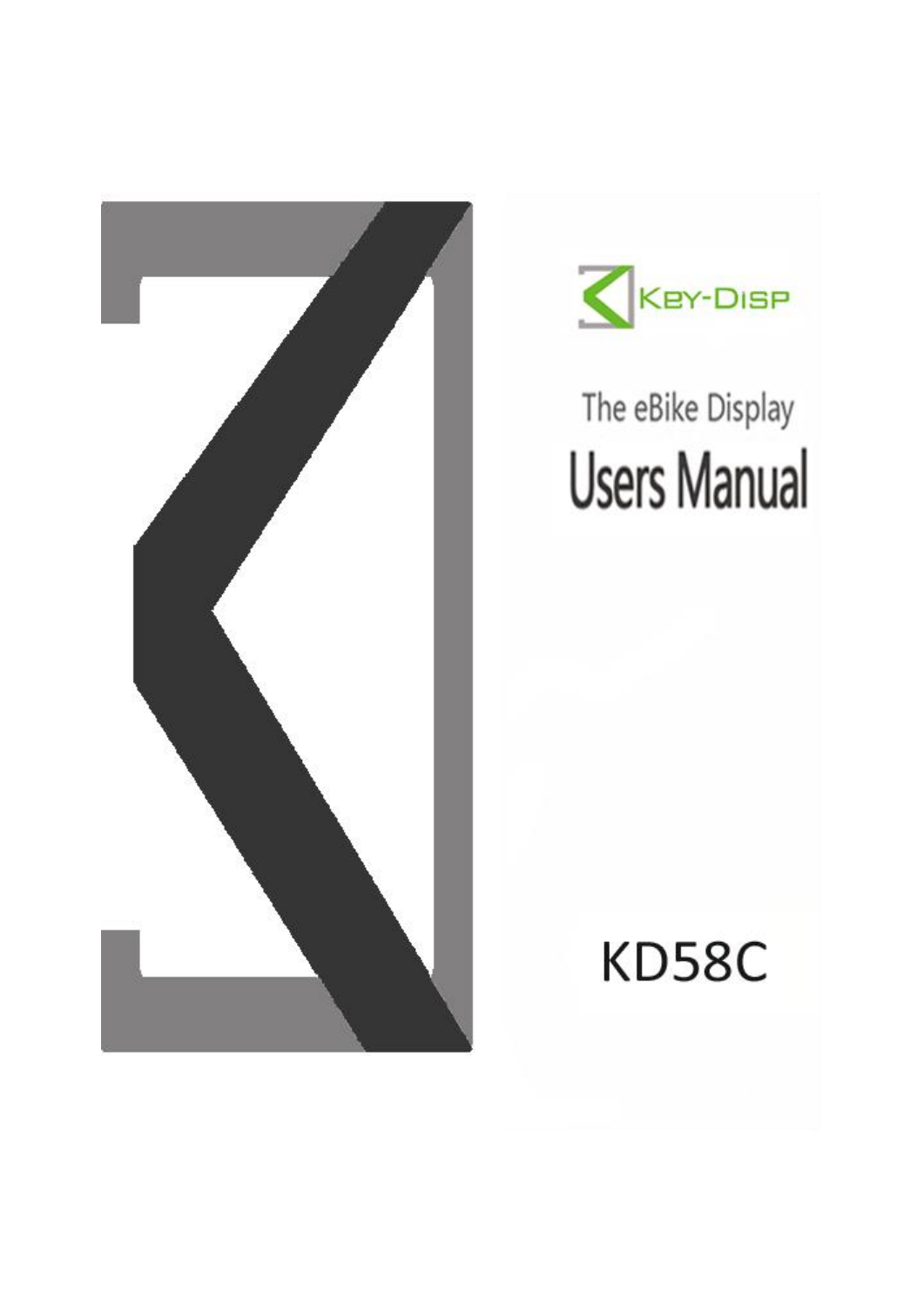



# The eBike Display **Users Manual**

# **KD58C**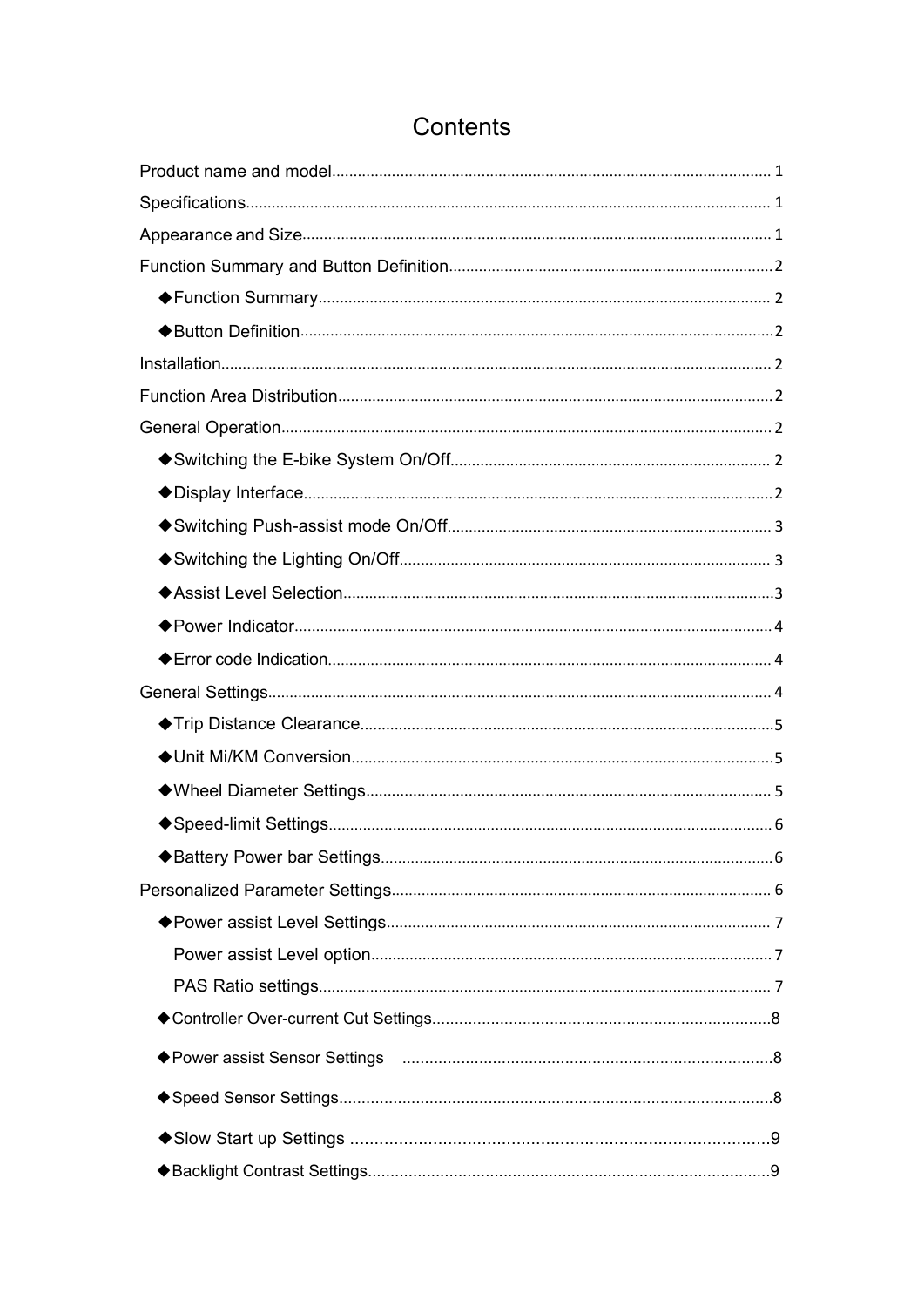# Contents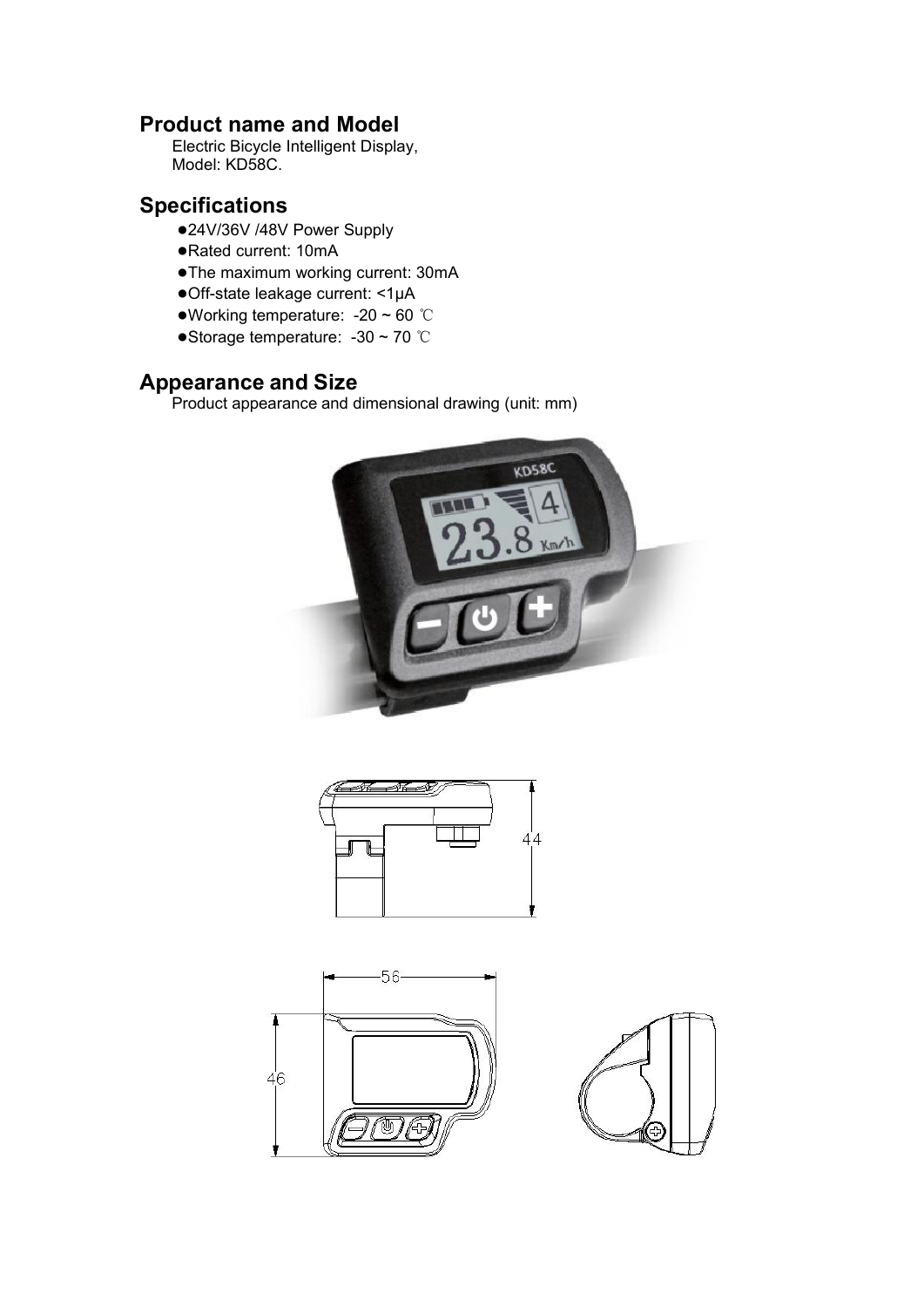## <span id="page-3-0"></span>**Product name and Model**

Electric Bicycle Intelligent Display, Model: KD58C.

## <span id="page-3-1"></span>**Specifications**

- ●24V/36V /48V Power Supply
- ●Rated current: 10mA
- ●The maximum working current: 30mA
- ●Off-state leakage current: <1μA
- ●Working temperature: -20 ~ 60 ℃
- ●Storage temperature: -30 ~ 70 ℃

## <span id="page-3-2"></span>**Appearance and Size**

Product appearance and dimensional drawing (unit: mm)



<span id="page-3-3"></span>



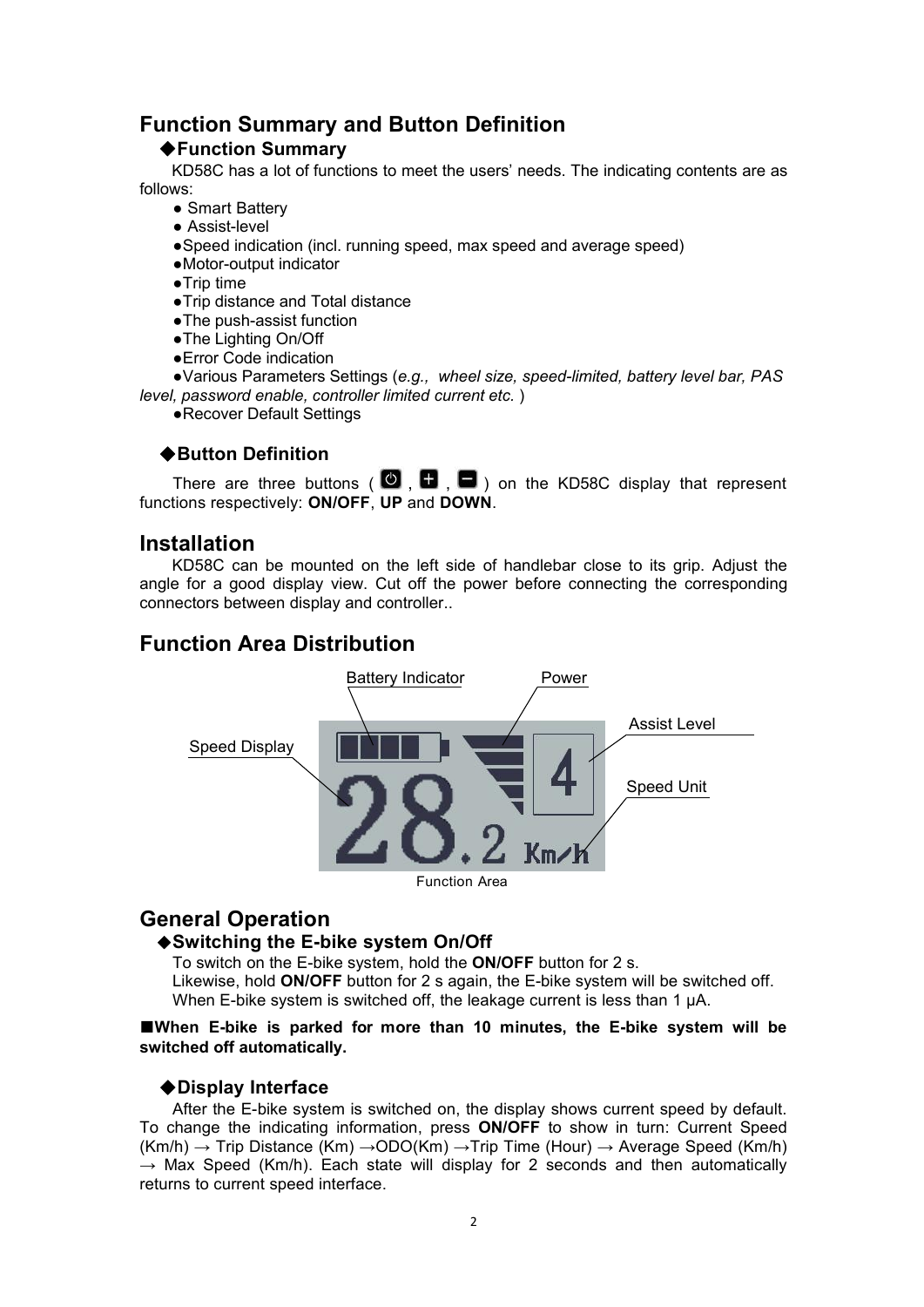## **Function Summary and Button Definition**

#### <span id="page-4-0"></span>◆**Function Summary**

KD58C has a lot of functions to meet the users' needs. The indicating contents are as follows:

- **●** Smart Battery
- **●** Assist-level
- **●**Speed indication (incl. running speed, max speed and average speed)
- **●**Motor-output indicator
- **●**Trip time
- **●**Trip distance and Total distance
- The push-assist function
- **●**The Lighting On/Off
- **●**Error Code indication

**●**Various Parameters Settings (*e.g., wheel size, speed-limited, battery level bar, PAS level, password enable, controller limited current etc.*)

**●**Recover Default Settings

#### <span id="page-4-1"></span>◆**Button Definition**

There are three buttons ( $\bullet$ ,  $\bullet$ ,  $\bullet$ ) on the KD58C display that represent functions respectively: **ON/OFF**, **UP** and **DOWN**.

## **Installation**

KD58C can be mounted on the left side of handlebar close to its grip. Adjust the angle for a good display view. Cut off the power before connecting the corresponding connectors between display and controller..

## <span id="page-4-2"></span>**Function Area Distribution**



## <span id="page-4-3"></span>**General Operation**

#### <span id="page-4-4"></span>◆**Switching the E-bike system On/Off**

To switch on the E-bike system, hold the **ON/OFF** button for 2 s. Likewise, hold **ON/OFF** button for 2 s again, the E-bike system will be switched off. When E-bike system is switched off, the leakage current is less than 1 µA.

#### **■When E-bike is parked for more than <sup>10</sup> minutes,the E-bike system will be switched off automatically.**

#### <span id="page-4-5"></span>◆**Display Interface**

After the E-bike system is switched on, the display shows current speed by default. To change the indicating information, press **ON/OFF** to show in turn: Current Speed  $(Km/h) \rightarrow$  Trip Distance  $(Km) \rightarrow$ ODO(Km)  $\rightarrow$  Trip Time (Hour)  $\rightarrow$  Average Speed (Km/h)  $\rightarrow$  Max Speed (Km/h). Each state will display for 2 seconds and then automatically returns to current speed interface.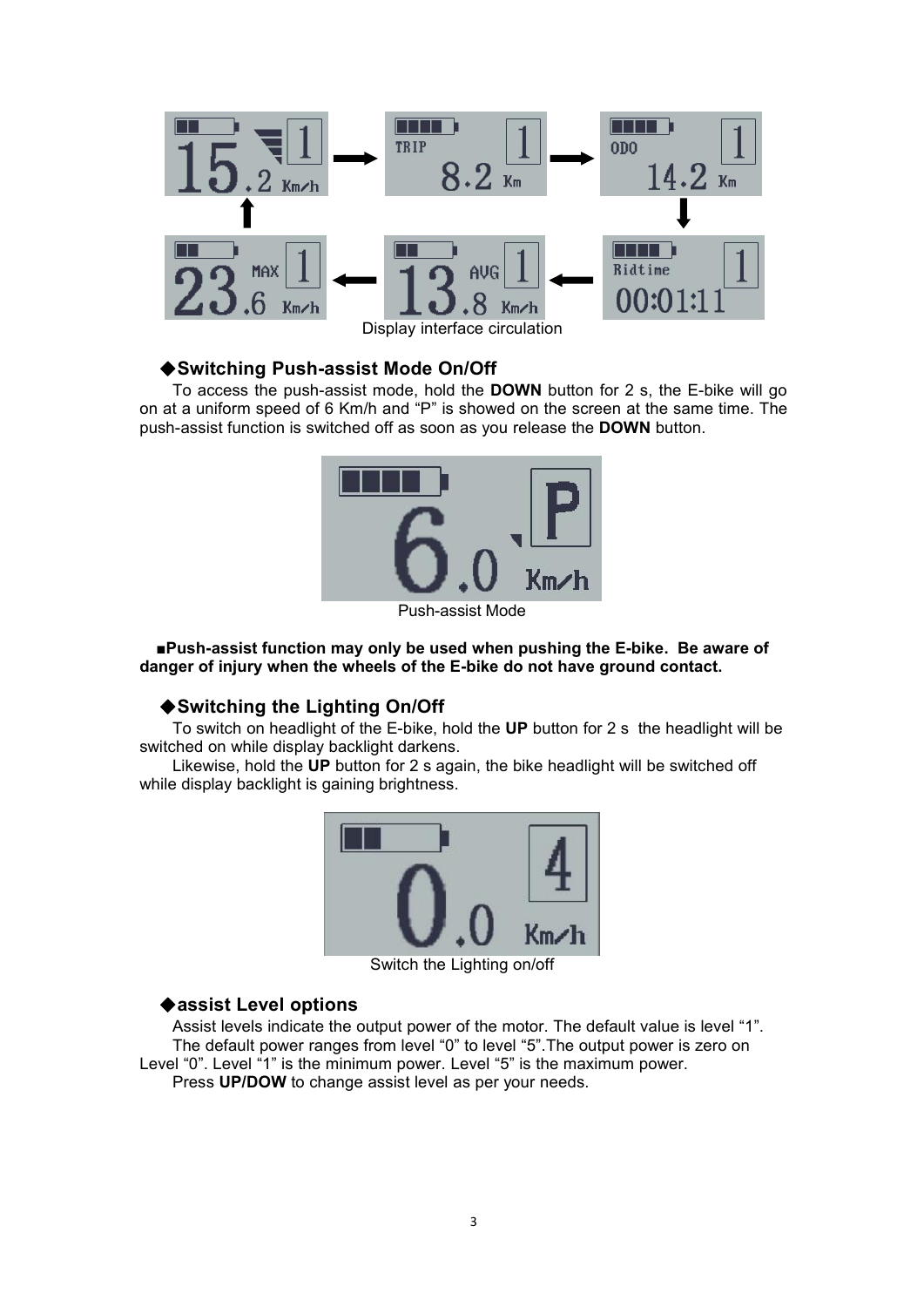

#### <span id="page-5-0"></span>◆**Switching Push-assist Mode On/Off**

To access the push-assist mode, hold the **DOWN** button for 2 s, the E-bike will go on at a uniform speed of 6 Km/h and "P" is showed on the screen at the same time. The push-assist function is switched off as soon as you release the **DOWN** button.



<span id="page-5-1"></span>Push-assist Mode

**■Push-assist function may only be used when pushing the E-bike. Be aware of danger of injury when the wheels of the E-bike do not have ground contact.**

#### ◆**Switching the Lighting On/Off**

To switch on headlight of the E-bike, hold the **UP** button for 2 s the headlight will be switched on while display backlight darkens.

Likewise, hold the **UP** button for 2 s again, the bike headlight will be switched off while display backlight is gaining brightness.



Switch the Lighting on/off

#### <span id="page-5-2"></span>◆**assist Level options**

Assist levels indicate the output power of the motor. The default value is level "1". The default power ranges from level "0" to level "5".The output power is zero on Level "0". Level "1" is the minimum power. Level "5" is the maximum power. Press **UP/DOW** to change assist level as per your needs.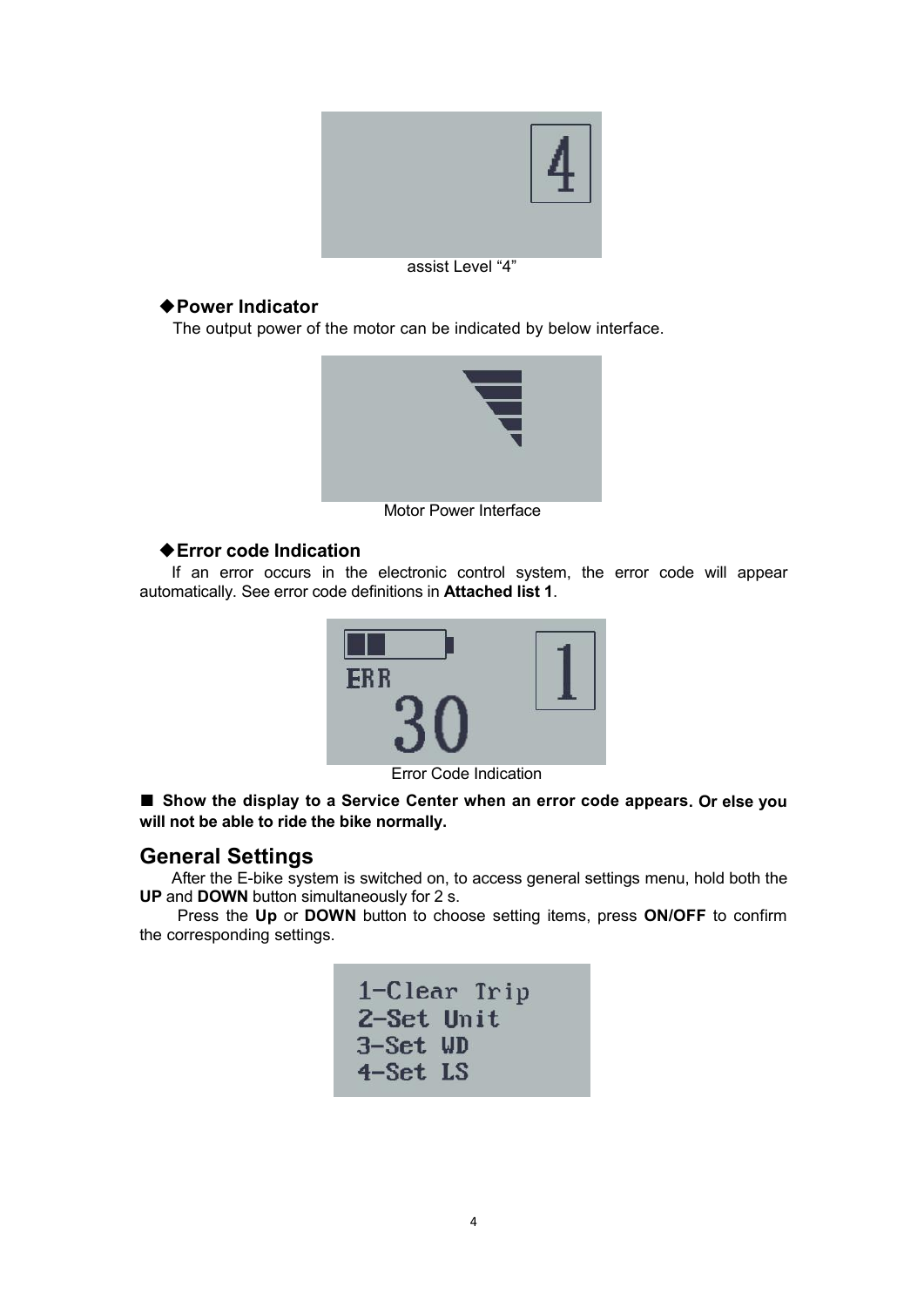

assist Level "4"

#### <span id="page-6-0"></span>◆**Power Indicator**

The output power of the motor can be indicated by below interface.



Motor Power Interface

#### <span id="page-6-1"></span>◆**Error code Indication**

If an error occurs in the electronic control system, the error code will appear automatically. See error code definitions in **Attached list 1**.



Error Code Indication

**■ Show the display to <sup>a</sup> Service Center when an error code appears. Or else you will not be able to ride the bike normally.**

## <span id="page-6-2"></span>**General Settings**

After the E-bike system is switched on, to access general settings menu, hold both the **UP** and **DOWN** button simultaneously for 2 s.

Press the Up or DOWN button to choose setting items, press ON/OFF to confirm the corresponding settings.

|            | 1-Clear Trip |
|------------|--------------|
| 2-Set Unit |              |
| 3-Set WD   |              |
| 4-Set LS   |              |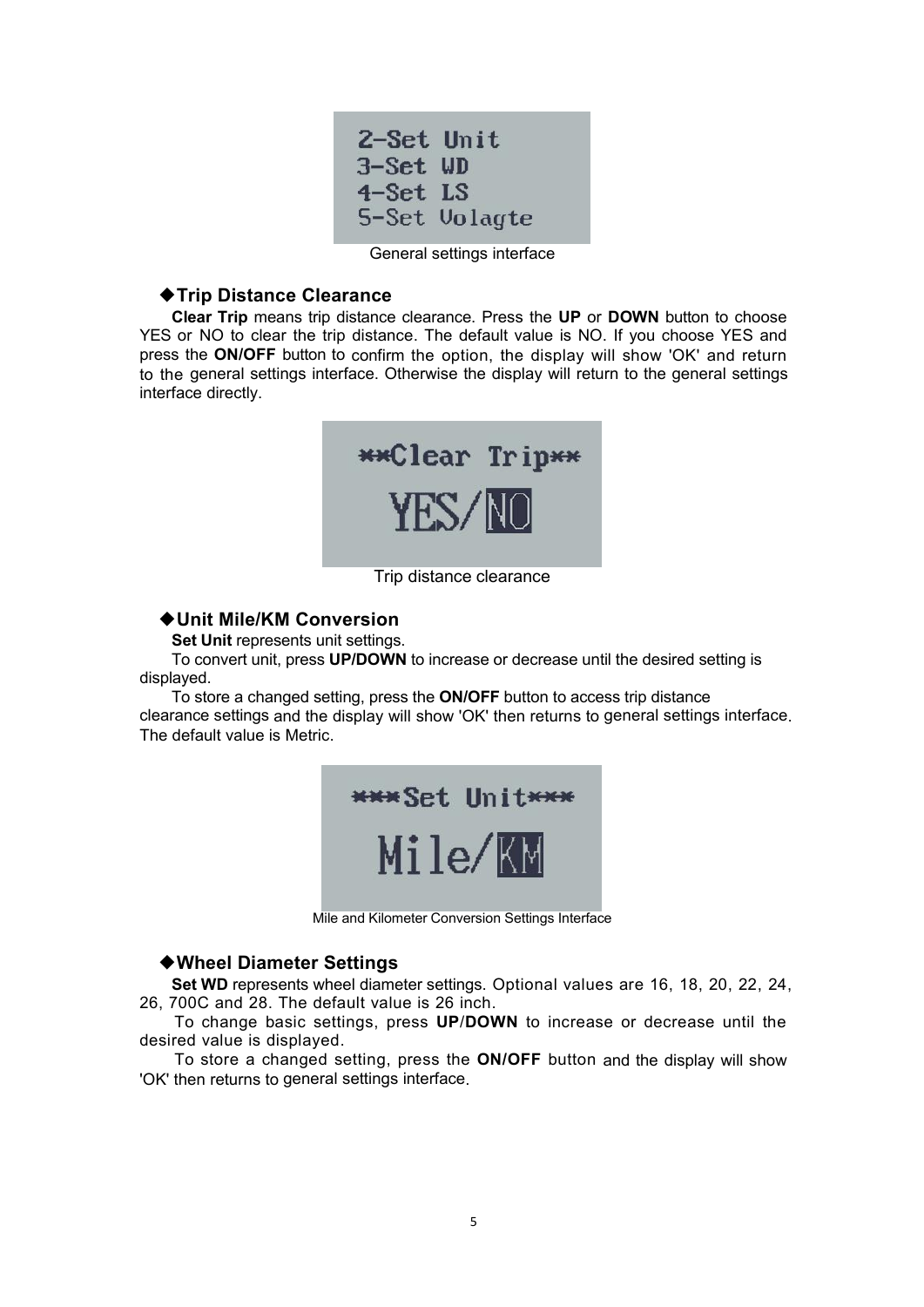| 2-Set Unit |               |
|------------|---------------|
| 3-Set WD   |               |
| 4-Set LS   |               |
|            | 5-Set Volagte |

General settings interface

#### <span id="page-7-0"></span>◆**Trip Distance Clearance**

**Clear Trip** means trip distance clearance. Press the **UP** or **DOWN** buttonto choose YES or NO to clear the trip distance. The default value is NO. If you choose YES and press the **ON/OFF** button to confirm the option, the display will show 'OK' and return to the general settings interface. Otherwise the display will return to the general settings interface directly.



Trip distance clearance

#### <span id="page-7-1"></span>◆**Unit Mile/KM Conversion**

**Set Unit** represents unit settings.

To convert unit, press **UP/DOWN** to increase or decrease until the desired setting is displayed.

To store a changed setting, press the **ON/OFF** button to access trip distance clearance settings and the display will show 'OK' then returns to general settings interface. The default value is Metric.

| *** Set Unit*** |  |
|-----------------|--|
| Mile/KM         |  |

Mile and Kilometer Conversion Settings Interface

#### <span id="page-7-2"></span>◆**Wheel Diameter Settings**

**Set WD** represents wheel diameter settings. Optional values are 16, 18, 20, 22, 24, 26, 700C and 28. The default value is26 inch.

To change basic settings, press **UP**/**DOWN** to increase or decrease until the desired value is displayed.

To store a changed setting, press the **ON/OFF** button and the display will show 'OK' then returns to general settings interface.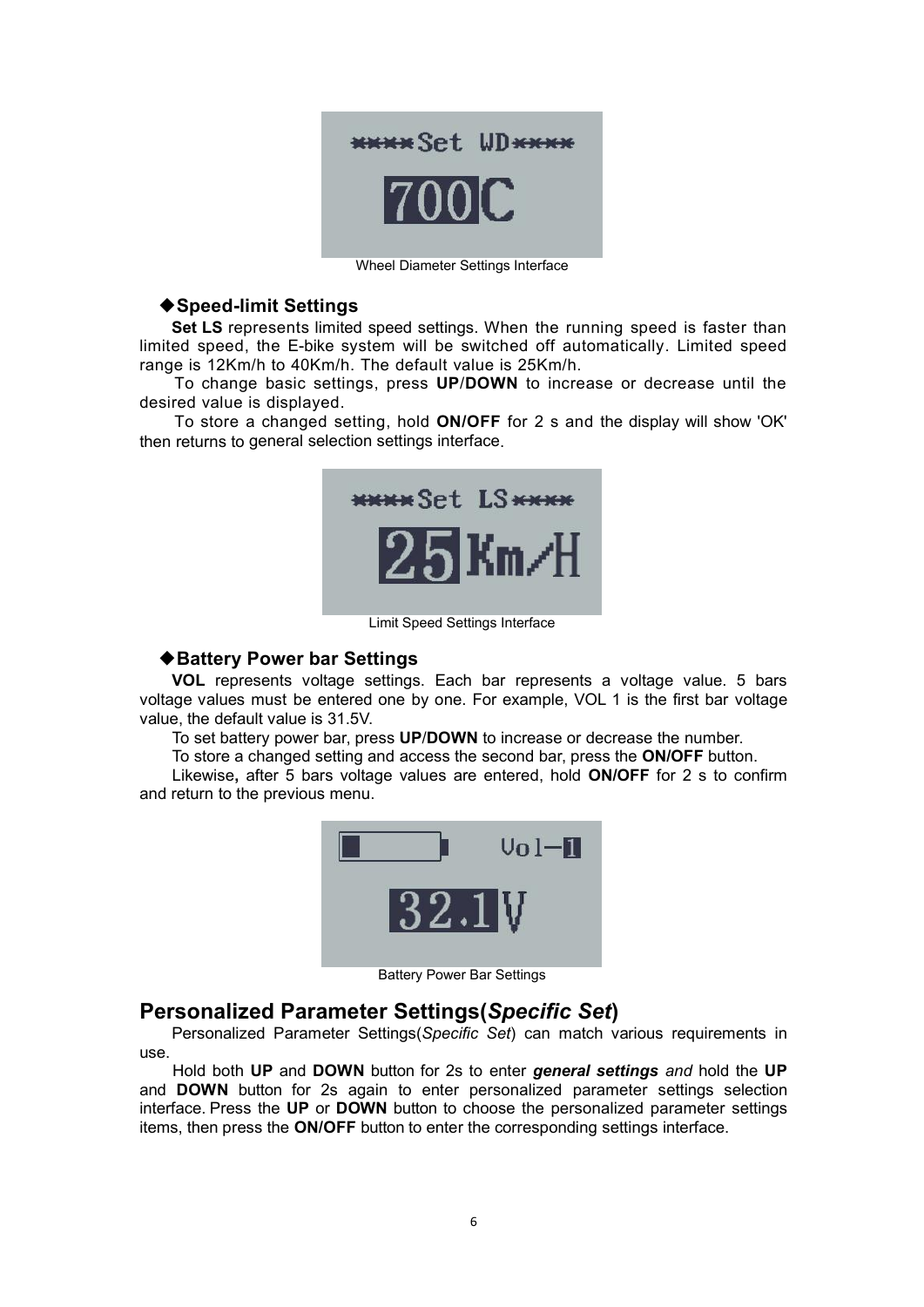

Wheel Diameter Settings Interface

#### <span id="page-8-0"></span>◆**Speed-limit Settings**

**Set LS** represents limited speed settings. When the running speed is faster than limited speed, the E-bike system will be switched off automatically. Limited speed range is 12Km/h to 40Km/h. The default value is 25Km/h.

To change basic settings, press **UP**/**DOWN** to increase or decrease until the desired value is displayed.

To store a changed setting, hold **ON/OFF** for 2 s and the display will show 'OK' then returns to general selection settings interface.



Limit Speed Settings Interface

#### <span id="page-8-1"></span>◆**Battery Power bar Settings**

**VOL** represents voltage settings. Each bar represents a voltage value. 5 bars voltage values must be entered one by one. For example, VOL 1 is the first bar voltage value, the default value is 31.5V.

To set battery power bar, press **UP**/**DOWN** to increase or decrease the number.

To store a changed setting and access the second bar, press the **ON/OFF** button.

Likewise**,** after 5 bars voltage values are entered, hold **ON/OFF** for 2 s to confirm and return to the previous menu.



Battery Power Bar Settings

## <span id="page-8-2"></span>**Personalized Parameter Settings(***Specific Set***)**

Personalized Parameter Settings(*Specific Set*) can match various requirements in use.

Hold both **UP** and**DOWN** buttonfor 2s to enter *general settings and* hold the **UP** and **DOWN** button for 2s again to enter personalized parameter settings selection interface. Press the **UP** or **DOWN** button to choose the personalized parameter settings items, then press the **ON/OFF** button to enter the corresponding settings interface.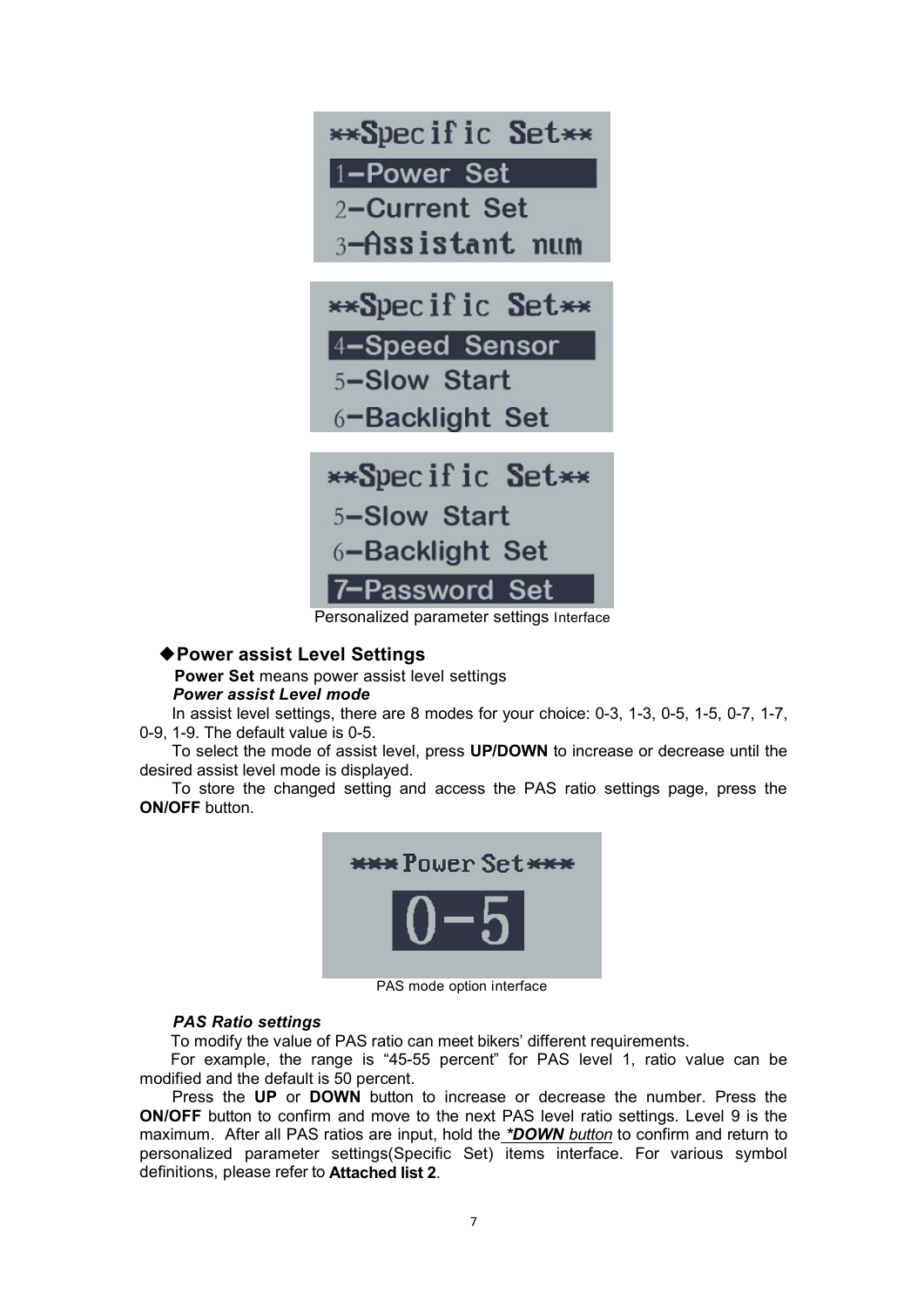

Personalized parameter settings Interface

#### <span id="page-9-0"></span>◆**Power assist Level Settings**

<span id="page-9-1"></span>**Power Set** means power assist level settings *Power assist Level mode*

In assist level settings, there are 8 modes for your choice: 0-3, 1-3, 0-5, 1-5, 0-7, 1-7, 0-9, 1-9. The default value is 0-5.

To select the mode of assist level, press **UP/DOWN** to increase or decrease until the desired assist level mode is displayed.

To store the changed setting and access the PAS ratio settings page, press the **ON/OFF** button.



PAS mode option interface

#### <span id="page-9-2"></span>*PAS Ratio settings*

To modify the value of PAS ratio can meet bikers' different requirements.

For example, the range is "45-55 percent" for PAS level 1, ratio value can be modified and the default is 50 percent.

Press the **UP** or **DOWN** button to increase or decrease the number. Press the **ON/OFF** button to confirm and move to the next PAS level ratio settings. Level 9 is the maximum. After all PAS ratios are input, hold the *\*DOWN button* to confirm and return to personalized parameter settings(Specific Set) items interface. For various symbol definitions, please refer to **Attached list 2**.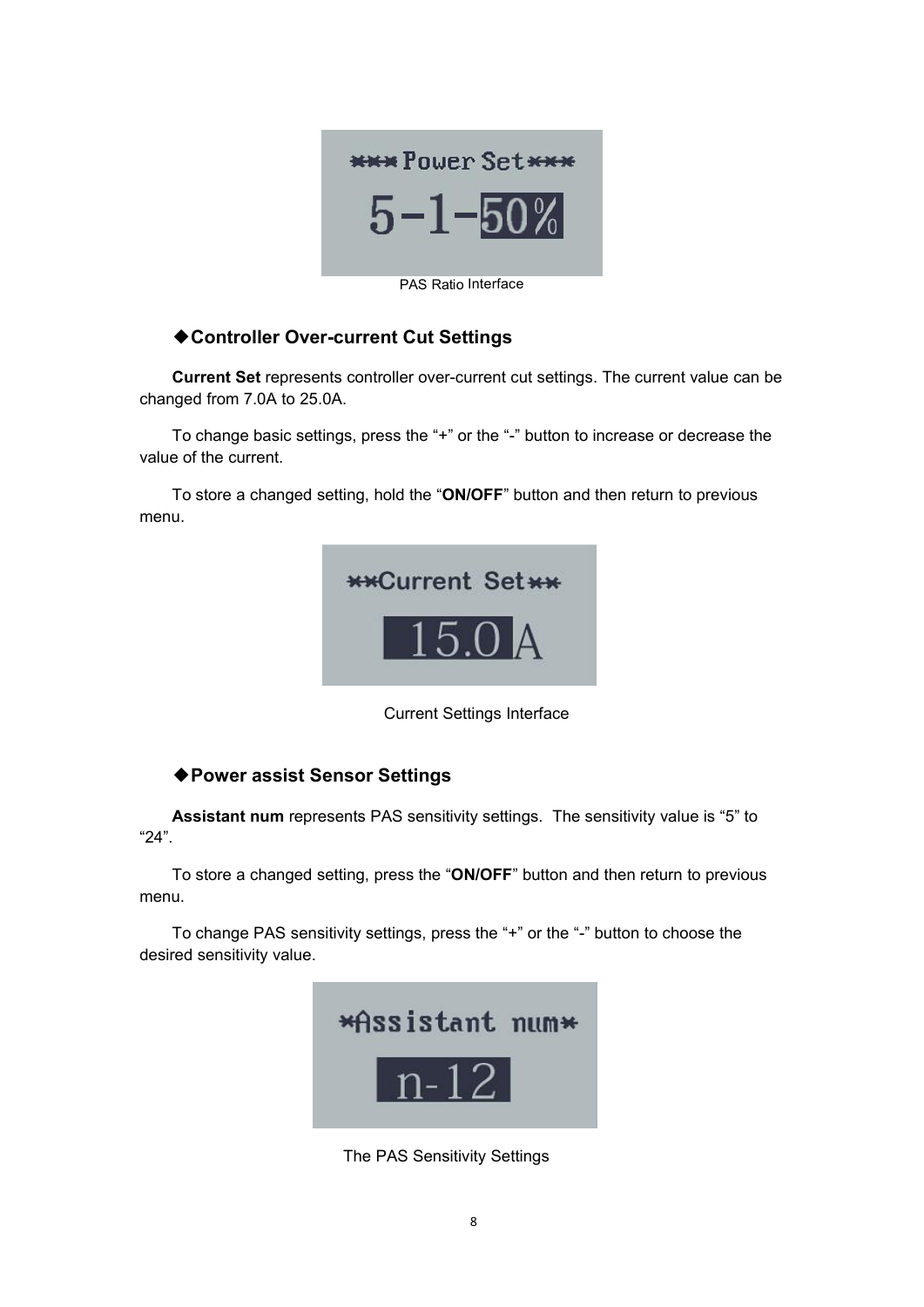

PAS Ratio Interface

## <span id="page-10-0"></span>◆**Controller Over-current Cut Settings**

**Current Set** represents controller over-current cut settings. The current value can be changed from 7.0A to 25.0A.

To change basic settings, press the "+" or the "-" button to increase or decrease the value of the current.

To store a changed setting, hold the "**ON/OFF**" button and then return to previous menu.



Current Settings Interface

## ◆**Power assist Sensor Settings**

**Assistant num** represents PAS sensitivity settings. The sensitivity value is "5" to "24".To store <sup>a</sup> changed setting, press the "**ON/OFF**" button and then return to previous

menu.

To change PAS sensitivity settings, press the "+" or the "-" button to choose the desired sensitivity value.



The PAS Sensitivity Settings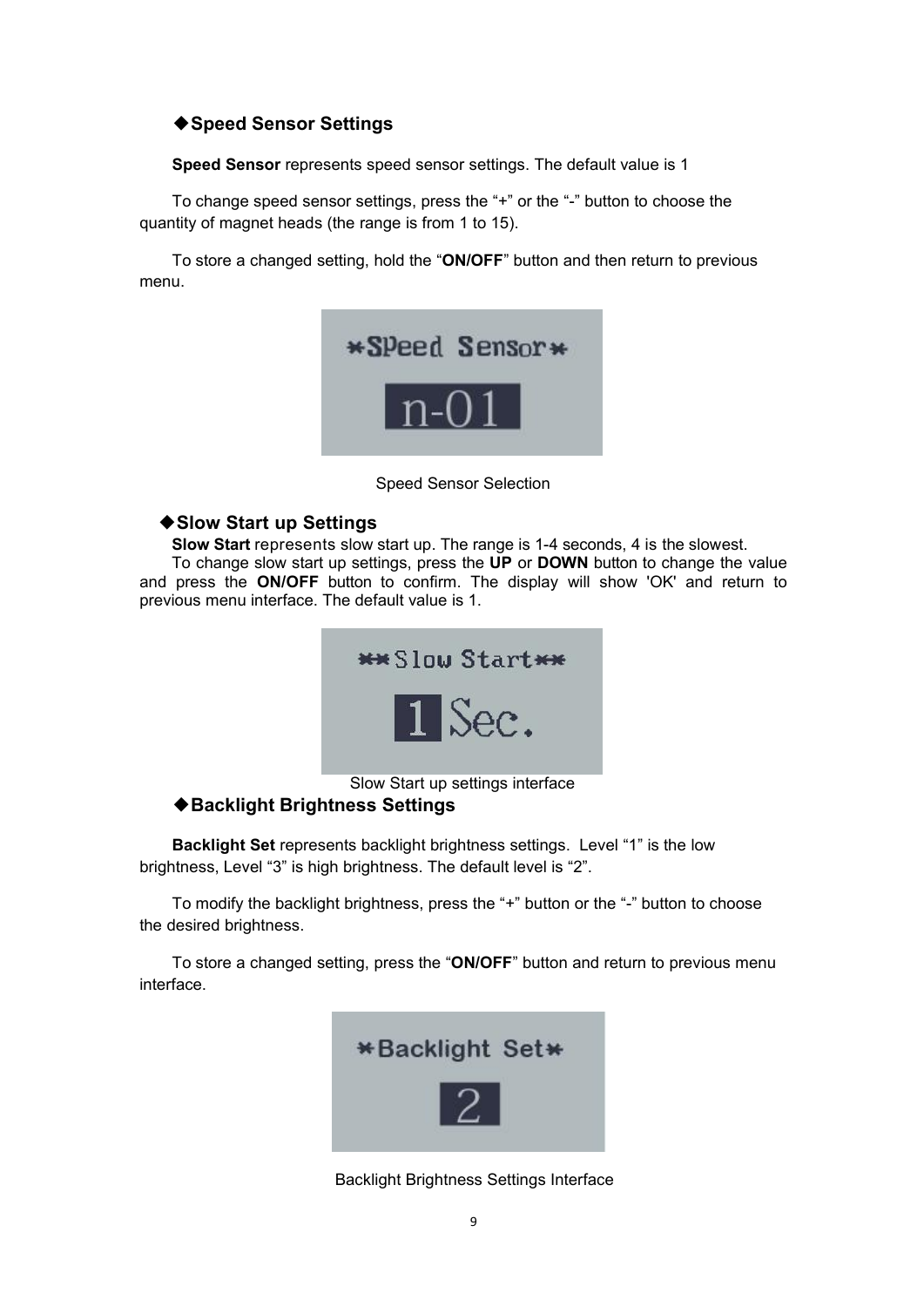## ◆**Speed Sensor Settings**

**Speed Sensor** represents speed sensor settings. The default value is 1

To change speed sensor settings, press the "+" or the "-" button to choose the quantity of magnet heads (the range is from 1 to 15).

To store a changed setting, hold the "**ON/OFF**" button and then return to previous menu.



Speed Sensor Selection

#### ◆**Slow Start up Settings**

**Slow Start** represents slow start up. The range is 1-4 seconds, 4 is the slowest.

To change slow start up settings, press the **UP** or **DOWN** button to change the value and press the **ON/OFF** button to confirm. The display will show 'OK' and return to previous menu interface. The default value is 1.

<span id="page-11-0"></span>

#### ◆**Backlight Brightness Settings**

**Backlight Set** represents backlight brightness settings. Level "1" is the low brightness, Level "3" is high brightness. The default level is "2".

To modify the backlight brightness, press the "+" button or the "-" button to choose the desired brightness.

To store a changed setting, press the "**ON/OFF**" button and return to previous menu interface.



Backlight Brightness Settings Interface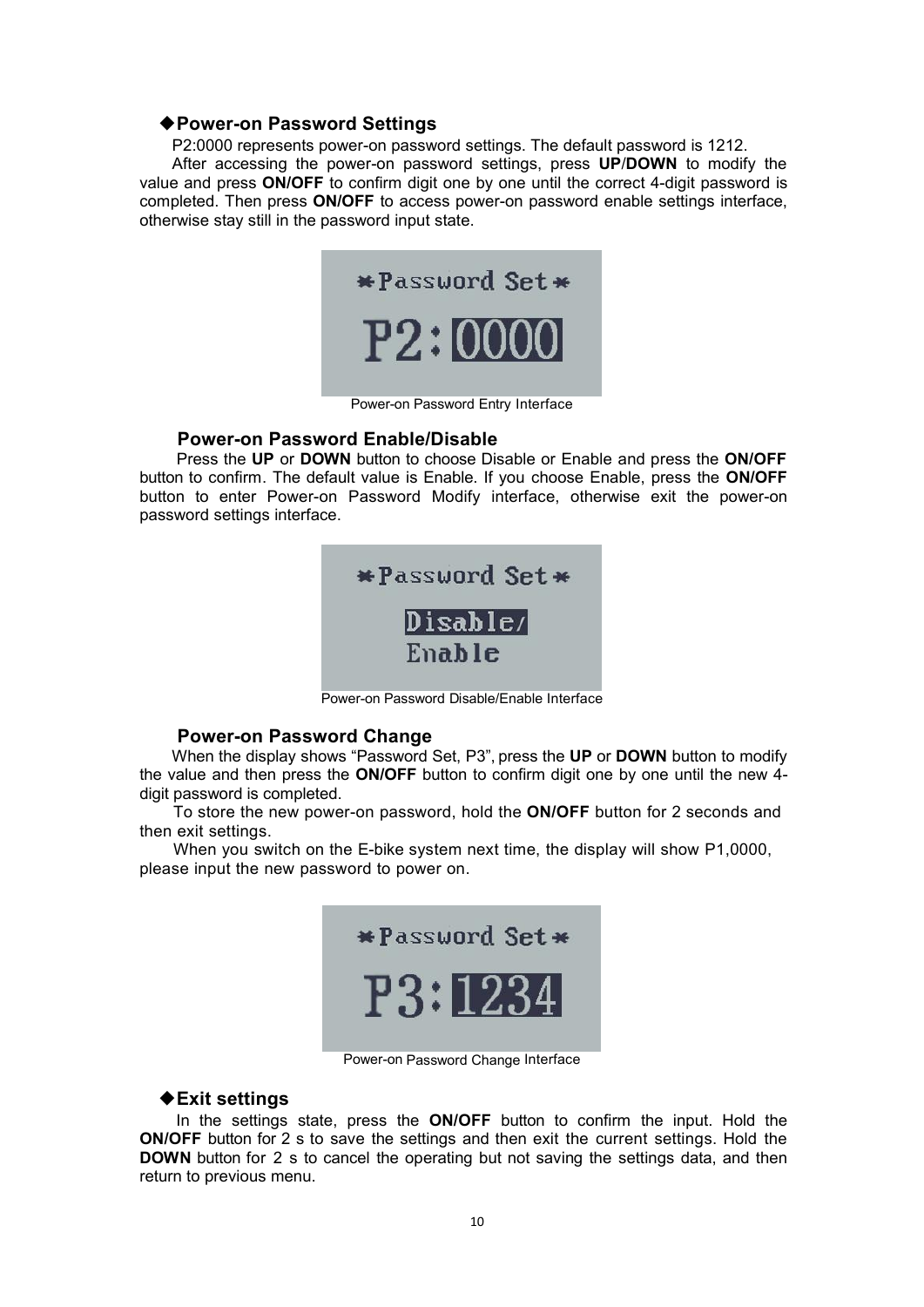#### ◆**Power-on Password Settings**

P2:0000 represents power-on password settings. The default password is 1212.

After accessing the power-on password settings, press **UP**/**DOWN** to modify the value and press **ON/OFF** to confirm digit one by one until the correct 4-digit password is completed. Then press **ON/OFF** to access power-on password enable settings interface, otherwise stay still in the password input state.



Power-on Password Entry Interface

#### <span id="page-12-0"></span>**Power-on Password Enable/Disable**

Press the **UP** or **DOWN** button to choose Disable or Enable and press the **ON/OFF** button to confirm. The default value is Enable. If you choose Enable, press the **ON/OFF** button to enter Power-on Password Modify interface, otherwise exit the power-on password settings interface.



Power-on Password Disable/Enable Interface

#### <span id="page-12-1"></span>**Power-on Password Change**

When the display shows "Password Set, P3", press the **UP** or **DOWN** button to modify the value and then press the **ON/OFF** button to confirm digit one by one until the new 4 digit password is completed.

To store the new power-on password, hold the **ON/OFF** button for 2 seconds and then exit settings.

When you switch on the E-bike system next time, the display will show P1,0000, please input the new password to power on.



Power-on Password Change Interface

#### <span id="page-12-2"></span>◆**Exit settings**

In the settings state, press the **ON/OFF** button to confirm the input. Hold the **ON/OFF** button for 2 s to save the settings and then exit the current settings. Hold the **DOWN** button for 2 s to cancel the operating but not saving the settings data, and then return to previous menu.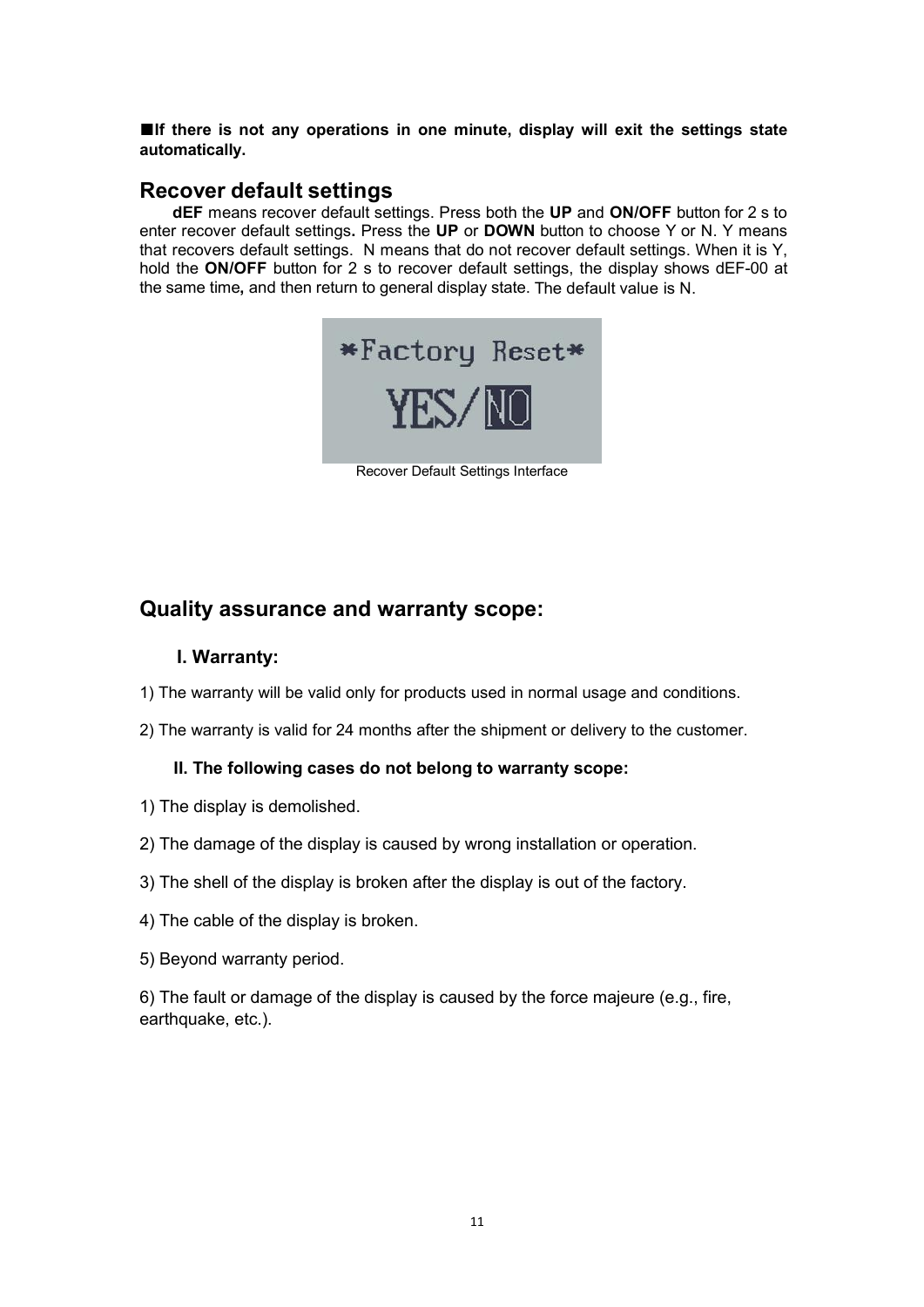**■If there is not any operations in one minute, display will exit the settings state automatically.**

## <span id="page-13-0"></span>**Recover default settings**

**dEF** means recover default settings. Press both the **UP** and **ON/OFF** button for 2 s to enter recover default settings**.** Press the **UP** or **DOWN** button to choose Y or N. Y means that recovers default settings. N means that do not recover default settings. When it is Y, hold the **ON/OFF** button for 2 s to recover default settings, the display shows dEF-00 at the same time**,** and then return to general display state. The default value is N.



Recover Default Settings Interface

## **Quality assurance and warranty scope:**

### **I. Warranty:**

- 1) The warranty will be valid only for products used in normal usage and conditions.
- 2) The warranty is valid for 24 months after the shipment or delivery to the customer.

#### **II. The following cases do not belong to warranty scope:**

- 1) The display is demolished.
- 2) The damage of the display is caused by wrong installation or operation.
- 3) The shell of the display is broken after the display is out of the factory.
- 4) The cable of the display is broken.
- 5) Beyond warranty period.

6) The fault or damage of the display is caused by the force majeure (e.g., fire, earthquake, etc.).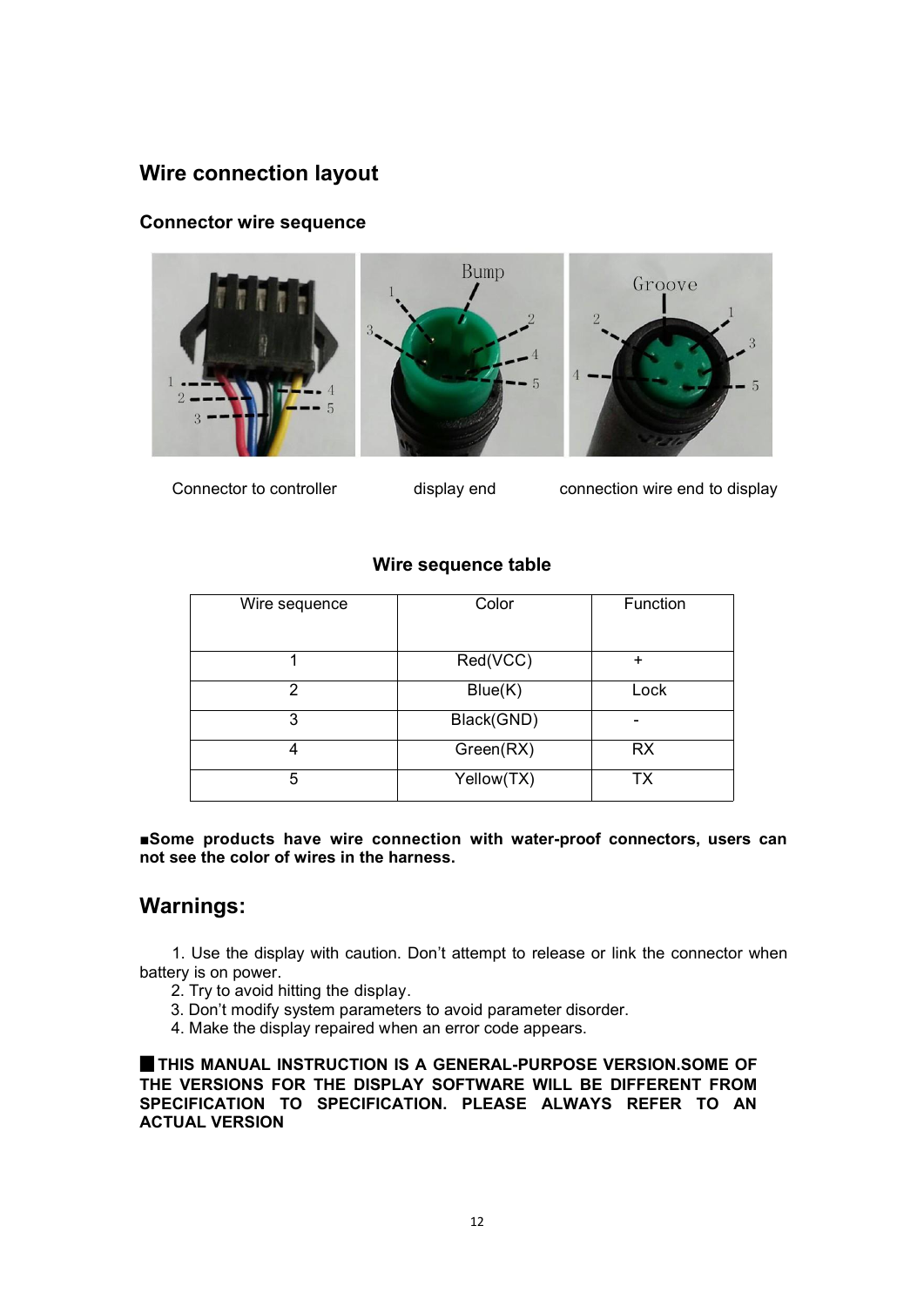## **Wire connection layout**

## **Connector wire sequence**



Connector to controller display end connection wire end to display

## **Wire sequence table**

| Wire sequence | Color      | Function  |
|---------------|------------|-----------|
|               | Red(VCC)   | ÷         |
| 2             | Blue(K)    | Lock      |
| 3             | Black(GND) | -         |
|               | Green(RX)  | <b>RX</b> |
| 5             | Yellow(TX) | ТX        |

**■Some products have wire connection with water-proof connectors, users can not see the color of wires in the harness.**

# **Warnings:**

1. Use the display with caution. Don't attempt to release or link the connector when battery is on power.

- 2. Try to avoid hitting the display.
- 3. Don't modify system parameters to avoid parameter disorder.
- 4. Make the display repaired when an error code appears.

▉**THIS MANUAL INSTRUCTION IS A GENERAL-PURPOSE VERSION.SOME OF THE VERSIONS FOR THE DISPLAY SOFTWARE WILL BE DIFFERENT FROM SPECIFICATION TO SPECIFICATION. PLEASE ALWAYS REFER TO AN ACTUAL VERSION**